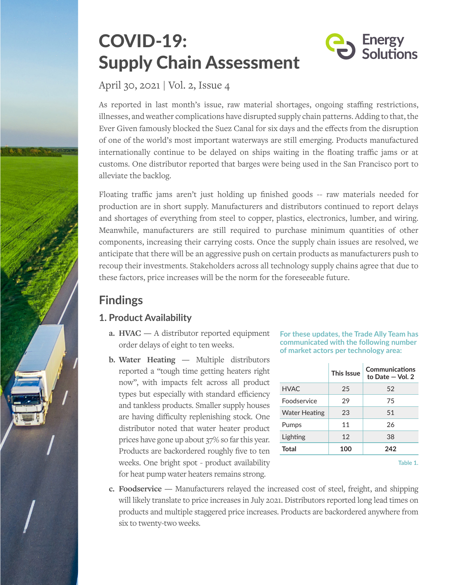# COVID-19: Supply Chain Assessment



April 30, 2021 | Vol. 2, Issue 4

As reported in last month's issue, raw material shortages, ongoing staffing restrictions, illnesses, and weather complications have disrupted supply chain patterns. Adding to that, the Ever Given famously blocked the Suez Canal for six days and the effects from the disruption of one of the world's most important waterways are still emerging. Products manufactured internationally continue to be delayed on ships waiting in the floating traffic jams or at customs. One distributor reported that barges were being used in the San Francisco port to alleviate the backlog.

Floating traffic jams aren't just holding up finished goods -- raw materials needed for production are in short supply. Manufacturers and distributors continued to report delays and shortages of everything from steel to copper, plastics, electronics, lumber, and wiring. Meanwhile, manufacturers are still required to purchase minimum quantities of other components, increasing their carrying costs. Once the supply chain issues are resolved, we anticipate that there will be an aggressive push on certain products as manufacturers push to recoup their investments. Stakeholders across all technology supply chains agree that due to these factors, price increases will be the norm for the foreseeable future.

## **Findings**

### **1. Product Availability**

- **a. HVAC** A distributor reported equipment order delays of eight to ten weeks.
- **b. Water Heating —** Multiple distributors reported a "tough time getting heaters right now", with impacts felt across all product types but especially with standard efficiency and tankless products. Smaller supply houses are having difficulty replenishing stock. One distributor noted that water heater product prices have gone up about 37% so far this year. Products are backordered roughly five to ten weeks. One bright spot - product availability for heat pump water heaters remains strong.

**For these updates, the Trade Ally Team has communicated with the following number of market actors per technology area:**

|                      | This Issue | Communications<br>to Date $-$ Vol. 2 |
|----------------------|------------|--------------------------------------|
| <b>HVAC</b>          | 25         | 52                                   |
| <b>Foodservice</b>   | 29         | 75                                   |
| <b>Water Heating</b> | 23         | 51                                   |
| Pumps                | 11         | 26                                   |
| Lighting             | 12         | 38                                   |
| Total                | 100        | 242                                  |
|                      |            |                                      |

**Table 1.**

**c. Foodservice —** Manufacturers relayed the increased cost of steel, freight, and shipping will likely translate to price increases in July 2021. Distributors reported long lead times on products and multiple staggered price increases. Products are backordered anywhere from six to twenty-two weeks.